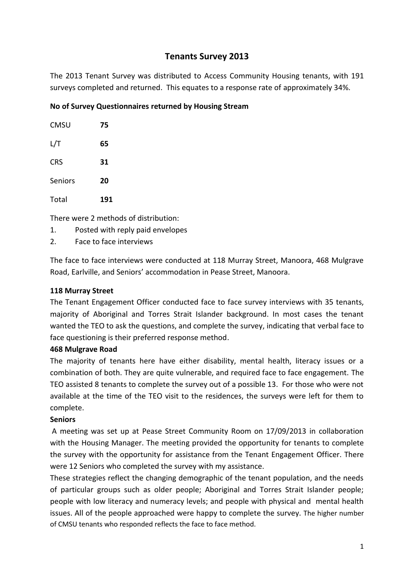# **Tenants Survey 2013**

The 2013 Tenant Survey was distributed to Access Community Housing tenants, with 191 surveys completed and returned. This equates to a response rate of approximately 34%.

# **No of Survey Questionnaires returned by Housing Stream**

| <b>CMSU</b> | 75  |
|-------------|-----|
| L/T         | 65  |
| <b>CRS</b>  | 31  |
| Seniors     | 20  |
| Total       | 191 |

There were 2 methods of distribution:

- 1. Posted with reply paid envelopes
- 2. Face to face interviews

The face to face interviews were conducted at 118 Murray Street, Manoora, 468 Mulgrave Road, Earlville, and Seniors' accommodation in Pease Street, Manoora.

# **118 Murray Street**

The Tenant Engagement Officer conducted face to face survey interviews with 35 tenants, majority of Aboriginal and Torres Strait Islander background. In most cases the tenant wanted the TEO to ask the questions, and complete the survey, indicating that verbal face to face questioning is their preferred response method.

### **468 Mulgrave Road**

The majority of tenants here have either disability, mental health, literacy issues or a combination of both. They are quite vulnerable, and required face to face engagement. The TEO assisted 8 tenants to complete the survey out of a possible 13. For those who were not available at the time of the TEO visit to the residences, the surveys were left for them to complete.

### **Seniors**

A meeting was set up at Pease Street Community Room on 17/09/2013 in collaboration with the Housing Manager. The meeting provided the opportunity for tenants to complete the survey with the opportunity for assistance from the Tenant Engagement Officer. There were 12 Seniors who completed the survey with my assistance.

These strategies reflect the changing demographic of the tenant population, and the needs of particular groups such as older people; Aboriginal and Torres Strait Islander people; people with low literacy and numeracy levels; and people with physical and mental health issues. All of the people approached were happy to complete the survey. The higher number of CMSU tenants who responded reflects the face to face method.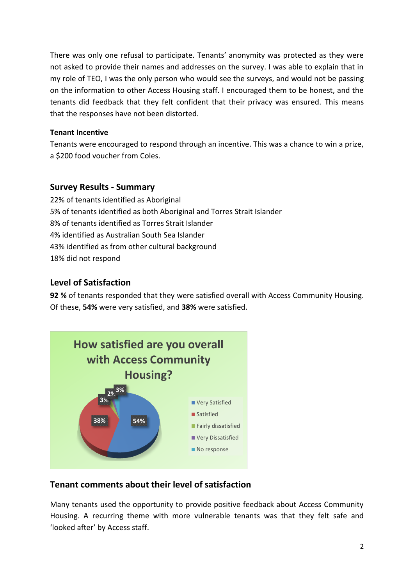There was only one refusal to participate. Tenants' anonymity was protected as they were not asked to provide their names and addresses on the survey. I was able to explain that in my role of TEO, I was the only person who would see the surveys, and would not be passing on the information to other Access Housing staff. I encouraged them to be honest, and the tenants did feedback that they felt confident that their privacy was ensured. This means that the responses have not been distorted.

# **Tenant Incentive**

Tenants were encouraged to respond through an incentive. This was a chance to win a prize, a \$200 food voucher from Coles.

# **Survey Results - Summary**

22% of tenants identified as Aboriginal 5% of tenants identified as both Aboriginal and Torres Strait Islander 8% of tenants identified as Torres Strait Islander 4% identified as Australian South Sea Islander 43% identified as from other cultural background 18% did not respond

# **Level of Satisfaction**

**92 %** of tenants responded that they were satisfied overall with Access Community Housing. Of these, **54%** were very satisfied, and **38%** were satisfied.



# **Tenant comments about their level of satisfaction**

Many tenants used the opportunity to provide positive feedback about Access Community Housing. A recurring theme with more vulnerable tenants was that they felt safe and 'looked after' by Access staff.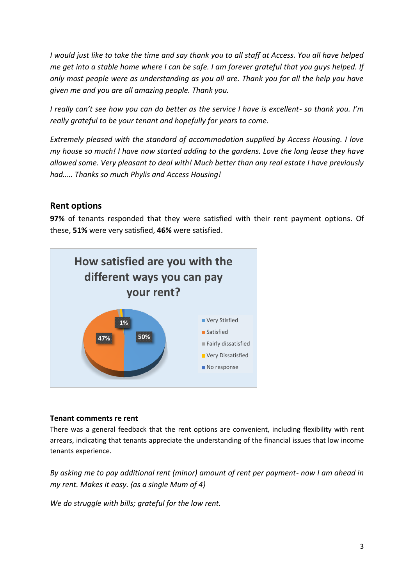*I would just like to take the time and say thank you to all staff at Access. You all have helped me get into a stable home where I can be safe. I am forever grateful that you guys helped. If only most people were as understanding as you all are. Thank you for all the help you have given me and you are all amazing people. Thank you.*

*I really can't see how you can do better as the service I have is excellent- so thank you. I'm really grateful to be your tenant and hopefully for years to come.*

*Extremely pleased with the standard of accommodation supplied by Access Housing. I love my house so much! I have now started adding to the gardens. Love the long lease they have allowed some. Very pleasant to deal with! Much better than any real estate I have previously had….. Thanks so much Phylis and Access Housing!*

# **Rent options**

**97%** of tenants responded that they were satisfied with their rent payment options. Of these, **51%** were very satisfied, **46%** were satisfied.



#### **Tenant comments re rent**

There was a general feedback that the rent options are convenient, including flexibility with rent arrears, indicating that tenants appreciate the understanding of the financial issues that low income tenants experience.

*By asking me to pay additional rent (minor) amount of rent per payment- now I am ahead in my rent. Makes it easy. (as a single Mum of 4)*

*We do struggle with bills; grateful for the low rent.*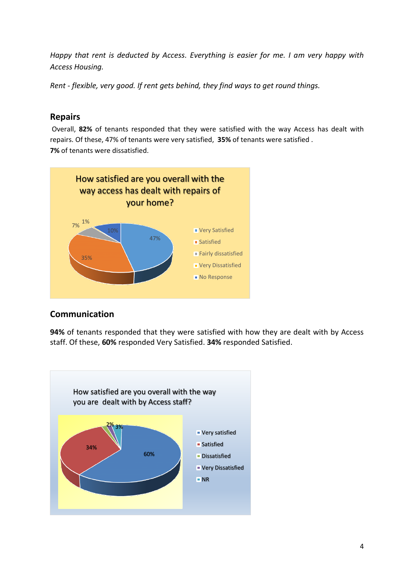*Happy that rent is deducted by Access. Everything is easier for me. I am very happy with Access Housing.*

*Rent - flexible, very good. If rent gets behind, they find ways to get round things.*

# **Repairs**

Overall, **82%** of tenants responded that they were satisfied with the way Access has dealt with repairs. Of these, 47% of tenants were very satisfied, **35%** of tenants were satisfied . **7%** of tenants were dissatisfied.



# **Communication**

**94%** of tenants responded that they were satisfied with how they are dealt with by Access staff. Of these, **60%** responded Very Satisfied. **34%** responded Satisfied.

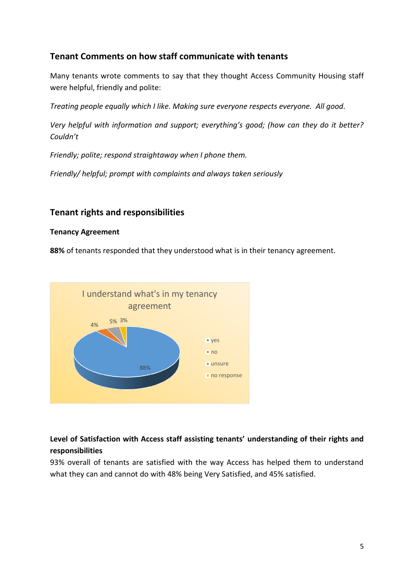# **Tenant Comments on how staff communicate with tenants**

Many tenants wrote comments to say that they thought Access Community Housing staff were helpful, friendly and polite:

*Treating people equally which I like. Making sure everyone respects everyone. All good.*

*Very helpful with information and support; everything's good; (how can they do it better? Couldn't*

*Friendly; polite; respond straightaway when I phone them.*

*Friendly/ helpful; prompt with complaints and always taken seriously*

# **Tenant rights and responsibilities**

#### **Tenancy Agreement**

**88%** of tenants responded that they understood what is in their tenancy agreement.



# **Level of Satisfaction with Access staff assisting tenants' understanding of their rights and responsibilities**

93% overall of tenants are satisfied with the way Access has helped them to understand what they can and cannot do with 48% being Very Satisfied, and 45% satisfied.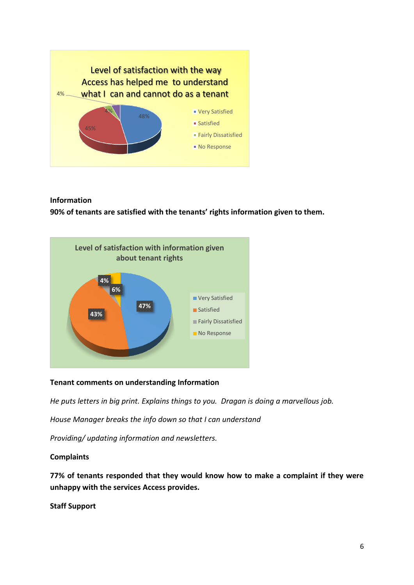

# **Information 90% of tenants are satisfied with the tenants' rights information given to them.**



### **Tenant comments on understanding Information**

*He puts letters in big print. Explains things to you. Dragan is doing a marvellous job.*

*House Manager breaks the info down so that I can understand*

*Providing/ updating information and newsletters.* 

#### **Complaints**

**77% of tenants responded that they would know how to make a complaint if they were unhappy with the services Access provides.**

**Staff Support**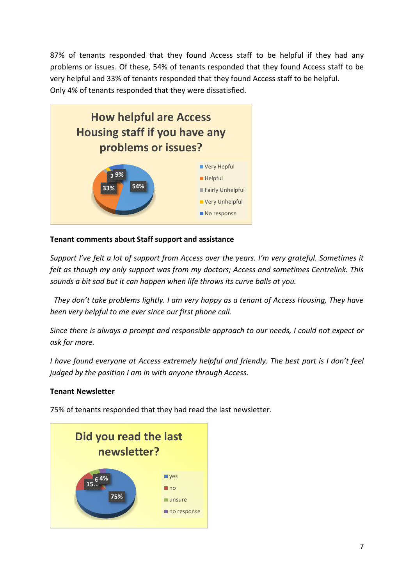87% of tenants responded that they found Access staff to be helpful if they had any problems or issues. Of these, 54% of tenants responded that they found Access staff to be very helpful and 33% of tenants responded that they found Access staff to be helpful. Only 4% of tenants responded that they were dissatisfied.



# **Tenant comments about Staff support and assistance**

*Support I've felt a lot of support from Access over the years. I'm very grateful. Sometimes it felt as though my only support was from my doctors; Access and sometimes Centrelink. This sounds a bit sad but it can happen when life throws its curve balls at you.*

 *They don't take problems lightly. I am very happy as a tenant of Access Housing, They have been very helpful to me ever since our first phone call.*

*Since there is always a prompt and responsible approach to our needs, I could not expect or ask for more.*

*I have found everyone at Access extremely helpful and friendly. The best part is I don't feel judged by the position I am in with anyone through Access.*

### **Tenant Newsletter**

75% of tenants responded that they had read the last newsletter.